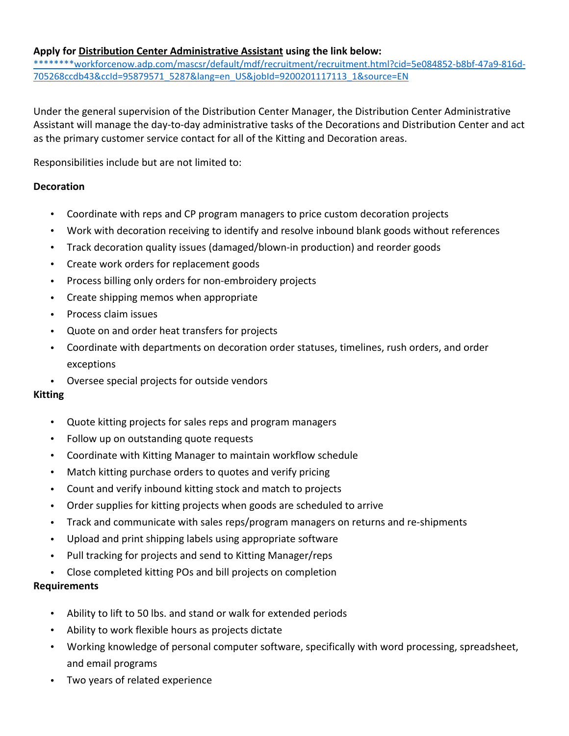## **Apply for Distribution Center Administrative Assistant using the link below:**

\*\*\*\*\*\*\*\*workforcenow.adp.com/mascsr/default/mdf/recruitment/recruitment.html?cid=5e084852‐b8bf‐47a9‐816d‐ 705268ccdb43&ccId=95879571\_5287&lang=en\_US&jobId=9200201117113\_1&source=EN

Under the general supervision of the Distribution Center Manager, the Distribution Center Administrative Assistant will manage the day‐to‐day administrative tasks of the Decorations and Distribution Center and act as the primary customer service contact for all of the Kitting and Decoration areas.

Responsibilities include but are not limited to:

## **Decoration**

- Coordinate with reps and CP program managers to price custom decoration projects
- Work with decoration receiving to identify and resolve inbound blank goods without references
- Track decoration quality issues (damaged/blown‐in production) and reorder goods
- Create work orders for replacement goods
- Process billing only orders for non‐embroidery projects
- Create shipping memos when appropriate
- Process claim issues
- Quote on and order heat transfers for projects
- Coordinate with departments on decoration order statuses, timelines, rush orders, and order exceptions
- Oversee special projects for outside vendors

## **Kitting**

- Quote kitting projects for sales reps and program managers
- Follow up on outstanding quote requests
- Coordinate with Kitting Manager to maintain workflow schedule
- Match kitting purchase orders to quotes and verify pricing
- Count and verify inbound kitting stock and match to projects
- Order supplies for kitting projects when goods are scheduled to arrive
- Track and communicate with sales reps/program managers on returns and re‐shipments
- Upload and print shipping labels using appropriate software
- Pull tracking for projects and send to Kitting Manager/reps
- Close completed kitting POs and bill projects on completion

## **Requirements**

- Ability to lift to 50 lbs. and stand or walk for extended periods
- Ability to work flexible hours as projects dictate
- Working knowledge of personal computer software, specifically with word processing, spreadsheet, and email programs
- Two years of related experience